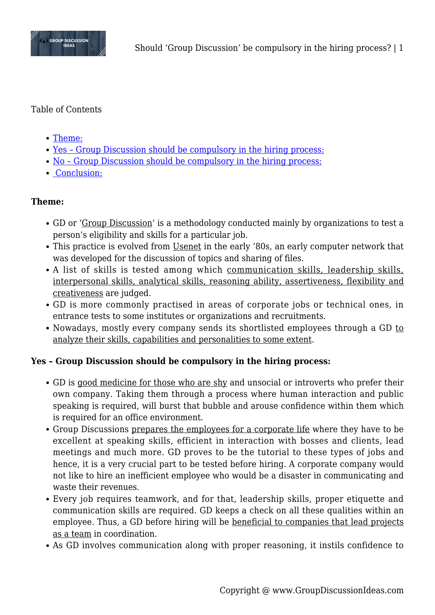

## Table of Contents

- [Theme:](#page--1-0)
- [Yes Group Discussion should be compulsory in the hiring process:](#page--1-0)
- [No Group Discussion should be compulsory in the hiring process:](#page--1-0)
- • [Conclusion:](#page--1-0)

## **Theme:**

- GD or 'Group Discussion' is a methodology conducted mainly by organizations to test a person's eligibility and skills for a particular job.
- This practice is evolved from Usenet in the early '80s, an early computer network that was developed for the discussion of topics and sharing of files.
- A list of skills is tested among which communication skills, leadership skills, interpersonal skills, analytical skills, reasoning ability, assertiveness, flexibility and creativeness are judged.
- GD is more commonly practised in areas of corporate jobs or technical ones, in entrance tests to some institutes or organizations and recruitments.
- Nowadays, mostly every company sends its shortlisted employees through a GD to analyze their skills, capabilities and personalities to some extent.

# **Yes – Group Discussion should be compulsory in the hiring process:**

- GD is good medicine for those who are shy and unsocial or introverts who prefer their own company. Taking them through a process where human interaction and public speaking is required, will burst that bubble and arouse confidence within them which is required for an office environment.
- Group Discussions prepares the employees for a corporate life where they have to be excellent at speaking skills, efficient in interaction with bosses and clients, lead meetings and much more. GD proves to be the tutorial to these types of jobs and hence, it is a very crucial part to be tested before hiring. A corporate company would not like to hire an inefficient employee who would be a disaster in communicating and waste their revenues.
- Every job requires teamwork, and for that, leadership skills, proper etiquette and communication skills are required. GD keeps a check on all these qualities within an employee. Thus, a GD before hiring will be beneficial to companies that lead projects as a team in coordination.
- As GD involves communication along with proper reasoning, it instils confidence to